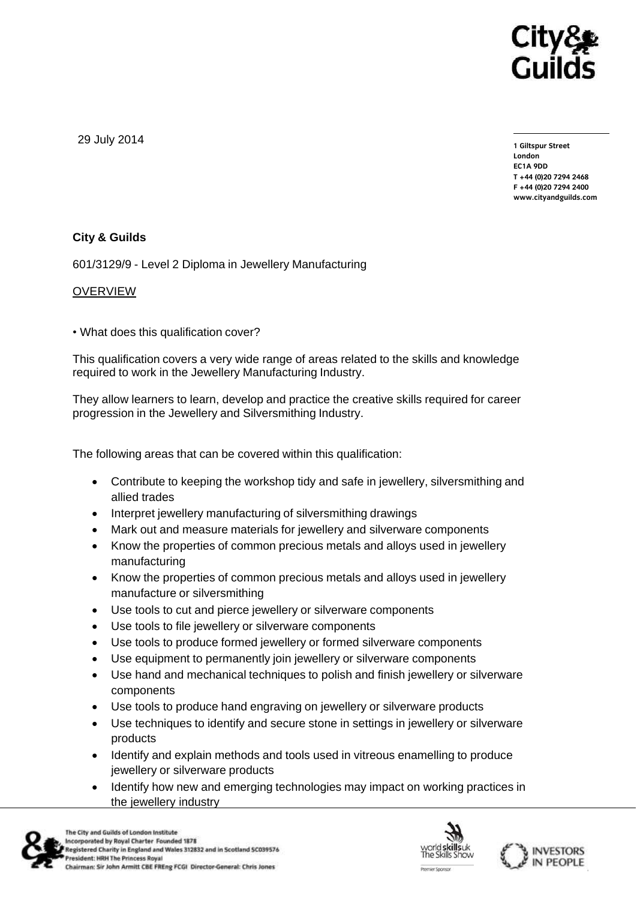

29 July 2014

**1 Giltspur Street EC1A 9DD** T +44 (0) 20 7 294 2468 **T +44 (0)20 7294 246[8](http://www.cityandguilds.com/) F +44** (1)<br>Example: altreadernikle ee **[www.cityandguilds.com](http://www.cityandguilds.com/)**

## **City & Guilds**

601/3129/9 - Level 2 Diploma in Jewellery Manufacturing

### OVERVIEW

• What does this qualification cover?

This qualification covers a very wide range of areas related to the skills and knowledge required to work in the Jewellery Manufacturing Industry.

They allow learners to learn, develop and practice the creative skills required for career progression in the Jewellery and Silversmithing Industry.

The following areas that can be covered within this qualification:

- Contribute to keeping the workshop tidy and safe in jewellery, silversmithing and allied trades
- Interpret jewellery manufacturing of silversmithing drawings
- Mark out and measure materials for jewellery and silverware components
- Know the properties of common precious metals and alloys used in jewellery manufacturing
- Know the properties of common precious metals and alloys used in jewellery manufacture or silversmithing
- Use tools to cut and pierce jewellery or silverware components
- Use tools to file jewellery or silverware components
- Use tools to produce formed jewellery or formed silverware components
- Use equipment to permanently join jewellery or silverware components
- Use hand and mechanical techniques to polish and finish jewellery or silverware components
- Use tools to produce hand engraving on jewellery or silverware products
- Use techniques to identify and secure stone in settings in jewellery or silverware products
- Identify and explain methods and tools used in vitreous enamelling to produce jewellery or silverware products
- Identify how new and emerging technologies may impact on working practices in the jewellery industry